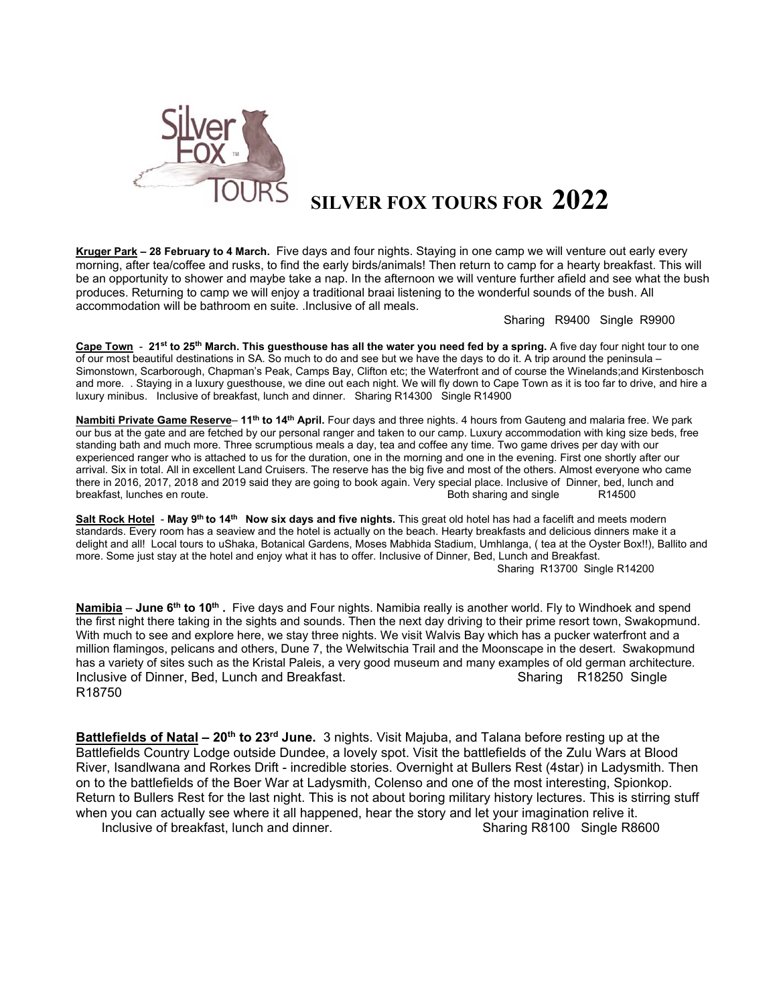

## **SILVER FOX TOURS FOR 2022**

**Kruger Park – 28 February to 4 March.** Five days and four nights. Staying in one camp we will venture out early every morning, after tea/coffee and rusks, to find the early birds/animals! Then return to camp for a hearty breakfast. This will be an opportunity to shower and maybe take a nap. In the afternoon we will venture further afield and see what the bush produces. Returning to camp we will enjoy a traditional braai listening to the wonderful sounds of the bush. All accommodation will be bathroom en suite. .Inclusive of all meals.

Sharing R9400 Single R9900

**Cape Town** - **21st to 25th March. This guesthouse has all the water you need fed by a spring.** A five day four night tour to one of our most beautiful destinations in SA. So much to do and see but we have the days to do it. A trip around the peninsula – Simonstown, Scarborough, Chapman's Peak, Camps Bay, Clifton etc; the Waterfront and of course the Winelands;and Kirstenbosch and more. . Staying in a luxury guesthouse, we dine out each night. We will fly down to Cape Town as it is too far to drive, and hire a luxury minibus. Inclusive of breakfast, lunch and dinner. Sharing R14300 Single R14900

**Nambiti Private Game Reserve**– **11th to 14th April.** Four days and three nights. 4 hours from Gauteng and malaria free. We park our bus at the gate and are fetched by our personal ranger and taken to our camp. Luxury accommodation with king size beds, free standing bath and much more. Three scrumptious meals a day, tea and coffee any time. Two game drives per day with our experienced ranger who is attached to us for the duration, one in the morning and one in the evening. First one shortly after our arrival. Six in total. All in excellent Land Cruisers. The reserve has the big five and most of the others. Almost everyone who came there in 2016, 2017, 2018 and 2019 said they are going to book again. Very special place. Inclusive of Dinner, bed, lunch and breakfast, lunches en route. <br>Both sharing and single R14500 breakfast, lunches en route. The contract of the contract and single and single R14500

**Salt Rock Hotel** - **May 9th to 14th Now six days and five nights.** This great old hotel has had a facelift and meets modern standards. Every room has a seaview and the hotel is actually on the beach. Hearty breakfasts and delicious dinners make it a delight and all! Local tours to uShaka, Botanical Gardens, Moses Mabhida Stadium, Umhlanga, ( tea at the Oyster Box!!), Ballito and more. Some just stay at the hotel and enjoy what it has to offer. Inclusive of Dinner, Bed, Lunch and Breakfast. Sharing R13700 Single R14200

**Namibia** – **June 6<sup>th</sup> to 10<sup>th</sup>**. Five days and Four nights. Namibia really is another world. Fly to Windhoek and spend the first night there taking in the sights and sounds. Then the next day driving to their prime resort town, Swakopmund. With much to see and explore here, we stay three nights. We visit Walvis Bay which has a pucker waterfront and a million flamingos, pelicans and others, Dune 7, the Welwitschia Trail and the Moonscape in the desert. Swakopmund has a variety of sites such as the Kristal Paleis, a very good museum and many examples of old german architecture. Inclusive of Dinner, Bed, Lunch and Breakfast. Sharing R18250 Single R18750

**Battlefields of Natal – 20<sup>th</sup> to 23<sup>rd</sup> June.** 3 nights. Visit Majuba, and Talana before resting up at the Battlefields Country Lodge outside Dundee, a lovely spot. Visit the battlefields of the Zulu Wars at Blood River, Isandlwana and Rorkes Drift - incredible stories. Overnight at Bullers Rest (4star) in Ladysmith. Then on to the battlefields of the Boer War at Ladysmith, Colenso and one of the most interesting, Spionkop. Return to Bullers Rest for the last night. This is not about boring military history lectures. This is stirring stuff when you can actually see where it all happened, hear the story and let your imagination relive it. Inclusive of breakfast, lunch and dinner. Sharing R8100 Single R8600